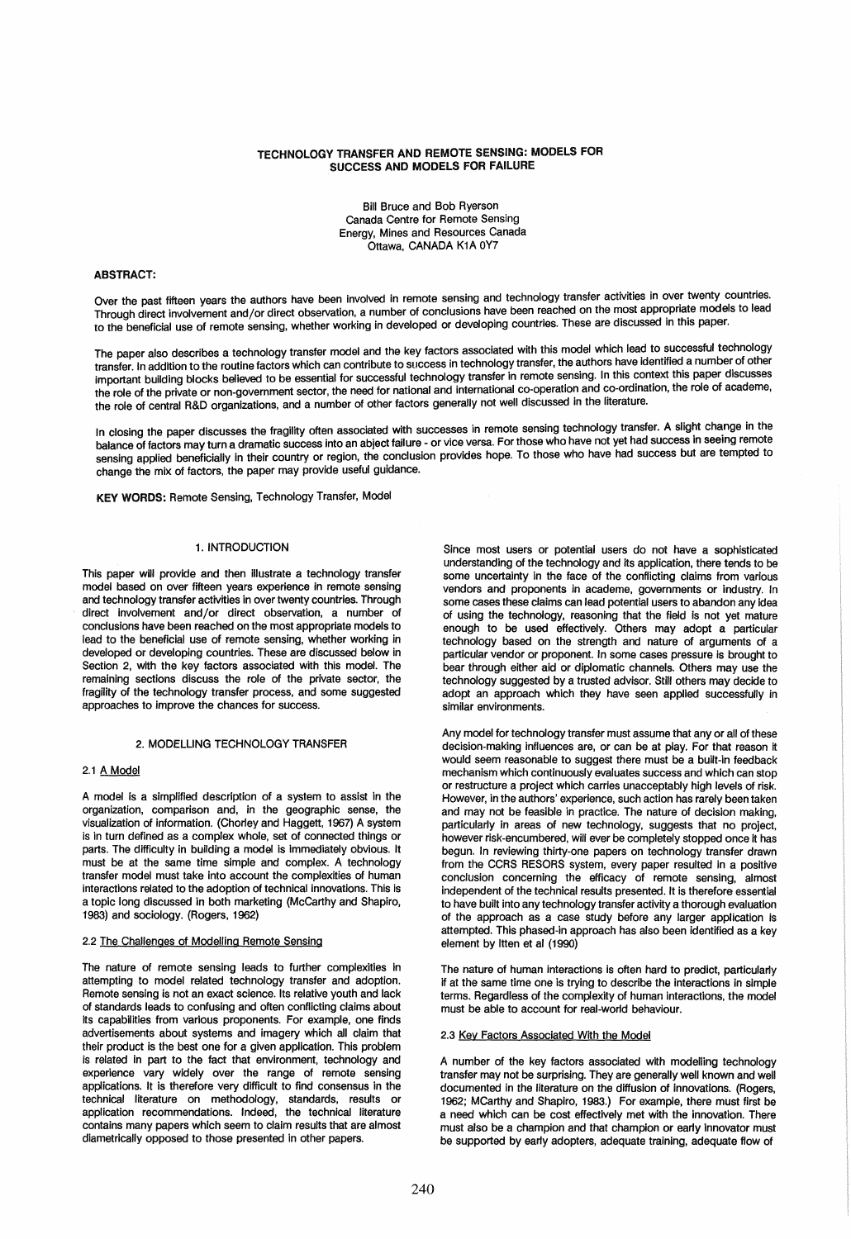# TECHNOLOGY TRANSFER AND REMOTE SENSING: MODELS FOR SUCCESS AND MODELS FOR FAILURE

Bill Bruce and Bob Ryerson Canada Centre for Remote Sensing Energy, Mines and Resources Canada Ottawa, CANADA K1A OY7

## ABSTRACT:

Over the past fifteen years the authors have been involved in remote sensing and technology transfer activities in over twenty countries. Through direct involvement and/or direct observation, a number of conclusions have been reached on the most appropriate models to lead to the beneficial use of remote sensing, whether working in developed or developing countries. These are discussed in this paper.

The paper also describes a technology transfer model and the key factors associated with this model which lead to successful technology transfer. In addition to the routine factors which can contribute to success in technology transfer, the authors have identified a number of other important building blocks believed to be essential for successful technology transfer in remote sensing. In this context this paper discusses the role of the private or non-government sector, the need for national and international co-operation and co-ordination, the role of academe, the role of central R&D organizations, and a number of other factors generally not well discussed in the literature.

In closing the paper discusses the fragility often associated with successes in remote sensing technology transfer. A slight change in the balance of factors may turn a dramatic success into an abject failure - or vice versa. For those who have not yet had success in seeing remote sensing applied beneficially in their country or region, the conclusion provides hope. To those who have had success but are tempted to change the mix of factors, the paper may provide useful guidance.

KEY WORDS: Remote Sensing, Technology Transfer, Model

#### 1. INTRODUCTION

This paper will provide and then illustrate a technology transfer model based on over fifteen years experience in remote sensing and technology transfer activities in over twenty countries. Through direct involvement and/or direct observation, a number of conclusions have been reached on the most appropriate models to lead to the beneficial use of remote sensing, whether working in developed or developing countries. These are discussed below in Section 2, with the key factors associated with this model. The remaining sections discuss the role of the private sector, the fragility of the technology transfer process, and some suggested approaches to improve the chances for success.

## 2. MODELLING TECHNOLOGY TRANSFER

# 2.1 A Model

A model is a simplified description of a system to assist in the organization, comparison and, in the geographic sense, the visualization of information. (Chorley and Haggett, 1967) A system is in turn defined as a complex whole, set of connected things or parts. The difficulty in building a model is immediately obvious. It must be at the same time simple and complex. A technology transfer model must take into account the complexities of human interactions related to the adoption of technical innovations. This is a topic long discussed in both marketing (McCarthy and Shapiro, 1983) and sociology. (Rogers, 1962)

#### 2.2 The Challenges of Modelling Remote Sensing

The nature of remote sensing leads to further complexities in attempting to model related technology transfer and adoption. Remote sensing is not an exact science. Its relative youth and lack of standards leads to confusing and often conflicting claims about its capabilities from various proponents. For example, one finds advertisements about systems and imagery which all claim that their product is the best one for a given application. This problem is related in part to the fact that environment, technology and experience vary widely over the range of remote sensing applications. It is therefore very difficult to find consensus in the technical literature on methodology, standards, results or application recommendations. Indeed, the technical literature contains many papers which seem to claim results that are almost diametrically opposed to those presented in other papers.

Since most users or potential users do not have a sophisticated understanding of the technology and its application, there tends to be some uncertainty in the face of the conflicting claims from various vendors and proponents in academe, governments or industry. In some cases these claims can lead potential users to abandon any idea of using the technology, reasoning that the field is not yet mature enough to be used effectively. Others may adopt a particular technology based on the strength and nature of arguments of a particular vendor or proponent. In some cases pressure is brought to bear through either aid or diplomatic channels. Others may use the technology suggested by a trusted advisor. Still others may decide to adopt an approach which they have seen applied successfully in similar environments.

Any model for technology transfer must assume that any or all of these decision-making influences are, or can be at play. For that reason it would seem reasonable to suggest there must be a built-in feedback mechanism which continuously evaluates success and which can stop or restructure a project which carries unacceptably high levels of risk. However, in the authors' experience, such action has rarely been taken and may not be feasible in practice. The nature of decision making, particularly in areas of new technology, suggests that no project, however risk-encumbered, will ever be completely stopped once it has begun. In reviewing thirty-one papers on technology transfer drawn from the CCRS RESORS system, every paper resulted in a positive conclusion concerning the efficacy of remote sensing, almost independent of the technical results presented. It is therefore essential to have built into any technology transfer activity a thorough evaluation of the approach as a case study before any larger application is attempted. This phased-in approach has also been identified as a key element by Itten et al (1990)

The nature of human interactions is often hard to predict, particularly if at the same time one is trying to describe the interactions in simple terms. Regardless of the complexity of human interactions, the model must be able to account for real-world behaviour.

#### 2.3 Key Factors Associated With the Model

A number of the key factors associated with modelling technology transfer may not be surprising. They are generally well known and well documented in the literature on the diffusion of innovations. (Rogers, 1962; MCarthy and Shapiro, 1983.) For example, there must first be a need which can be cost effectively met with the innovation. There must also be a champion and that champion or early innovator must be supported by early adopters, adequate training, adequate flow of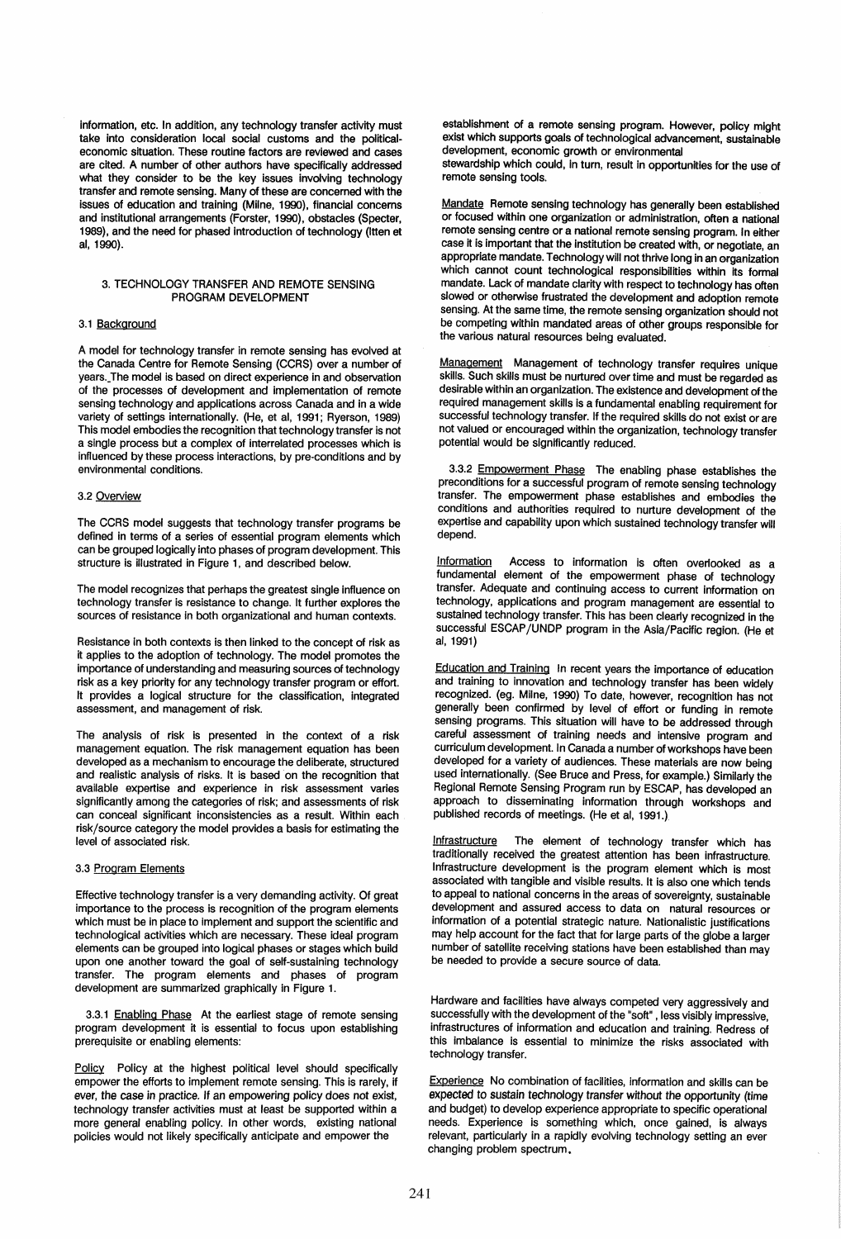information, etc. In addition, any technology transfer activity must take into consideration local social customs and the politicaleconomic situation. These routine factors are reviewed and cases are cited. A number of other authors have specifically addressed what they consider to be the key issues involving technology transfer and remote sensing. Many of these are concerned with the issues of education and training (Milne, 1990), financial concerns and institutional arrangements (Forster, 1990), obstacles (Specter, 1989), and the need for phased introduction of technology (Itten et al, 1990).

## 3. TECHNOLOGY TRANSFER AND REMOTE SENSING PROGRAM DEVELOPMENT

## 3.1 Background

A model for technology transfer in remote sensing has evolved at the Canada Centre for Remote Sensing (CCRS) over a number of years.\_The model is based on direct experience in and observation of the processes of development and implementation of remote sensing technology and applications across Canada and in a wide variety of settings internationally. (He, et ai, 1991; Ryerson, 1989) This model embodies the recognition that technology transfer is not a single process but a complex of interrelated processes which is influenced by these process interactions, by pre-conditions and by environmental conditions.

## 3.2 Overview

The CCRS model suggests that technology transfer programs be defined in terms of a series of essential program elements which can be grouped logically into phases of program development. This structure is illustrated in Figure 1, and described below.

The model recognizes that perhaps the greatest single influence on technology transfer is resistance to change. It further explores the sources of resistance in both organizational and human contexts.

Resistance in both contexts is then linked to the concept of risk as it applies to the adoption of technology. The model promotes the importance of understanding and measuring sources of technology risk as a key priority for any technology transfer program or effort. It provides a logical structure for the classification, integrated assessment, and management of risk.

The analysis of risk is presented in the context of a risk management equation. The risk management equation has been developed as a mechanism to encourage the deliberate, structured and realistic analysis of risks. It is based on the recognition that available expertise and experience in risk assessment varies significantly among the categories of risk; and assessments of risk can conceal significant inconsistencies as a result. Within each risk/source category the model provides a basis for estimating the level of associated risk.

#### 3.3 Program Elements

Effective technology transfer is a very demanding activity. Of great importance to the process is recognition of the program elements which must be in place to implement and support the scientific and technological activities which are necessary. These ideal program elements can be grouped into logical phases or stages which build upon one another toward the goal of self-sustaining technology transfer. The program elements and phases of program development are summarized graphically in Figure 1.

3.3.1 Enabling Phase At the earliest stage of remote sensing program development it is essential to focus upon establishing prerequisite or enabling elements:

Policy Policy at the highest political level should specifically empower the efforts to implement remote sensing. This is rarely, if ever, the case in practice. If an empowering policy does not exist, technology transfer activities must at least be supported within a more general enabling policy. In other words, existing national policies would not likely specifically anticipate and empower the

establishment of a remote sensing program. However, policy might exist which supports goals of technological advancement. sustainable development, economic growth or environmental stewardship which COUld. In turn, result in opportunities for the use of

remote sensing tools.

Mandate Remote sensing technology has generally been established or focused within one organization or administration, often a national remote sensing centre or a national remote sensing program. In either case it is important that the institution be created with, or negotiate, an appropriate mandate. Technology will not thrive long in an organization which cannot count technological responsibilities within its formal mandate. Lack of mandate clarity with respect to technology has often slowed or otherwise frustrated the development and adoption remote sensing. At the same time, the remote sensing organization should not be competing within mandated areas of other groups responsible for the various natural resources being evaluated.

Management Management of technology transfer requires unique skills. Such skills must be nurtured over time and must be regarded as desirable within an organization. The existence and development of the required management skills is a fundamental enabling requirement for successful technology transfer. If the required skills do not exist or are not valued or encouraged within the organization, technology transfer potential would be significantly reduced.

3.3.2 Empowerment Phase The enabling phase establishes the preconditions for a successful program of remote sensing technology transfer. The empowerment phase establishes and embodies the conditions and authorities required to nurture development of the expertise and capability upon which sustained technology transfer will depend.

Information Access to information is often overlooked as a fundamental element of the empowerment phase of technology transfer. Adequate and continuing access to current information on technology, applications and program management are essential to sustained technology transfer. This has been clearly recognized in the successful ESCAP/UNDP program in the Asia/Pacific region. (He et ai, 1991)

Education and Training In recent years the importance of education and training to innovation and technology transfer has been widely recognized. (eg. Milne, 1990) To date, however, recognition has not generally been confirmed by level of effort or funding in remote sensing programs. This situation will have to be addressed through careful assessment of training needs and intensive program and curriculum development. In Canada a number of workshops have been developed for a variety of audiences. These materials are now being used internationally. (See Bruce and Press, for example.) Similarly the Regional Remote Sensing Program run by ESCAP, has developed an approach to disseminating information through workshops and published records of meetings. (He et ai, 1991.)

Infrastructure The element of technology transfer which has traditionally received the greatest attention has been infrastructure. Infrastructure development is the program element which is most associated with tangible and visible results. It is also one which tends to appeal to national concerns in the areas of sovereignty, sustainable development and assured access to data on natural resources or information of a potential strategic nature. Nationalistic justifications may help account for the fact that for large parts of the globe a larger number of satellite receiving stations have been established than may be needed to provide a secure source of data.

Hardware and facilities have always competed very aggressively and successfully with the development of the "soft" , less visibly impressive, infrastructures of information and education and training. Redress of this imbalance is essential to minimize the risks associated with technology transfer.

Experience No combination of facilities, information and skills can be expected to sustain technology transfer without the opportunity (time and budget) to develop experience appropriate to specific operational needs. Experience is something which, once gained, is always relevant, particularly in a rapidly evolving technology setting an ever changing problem spectrum.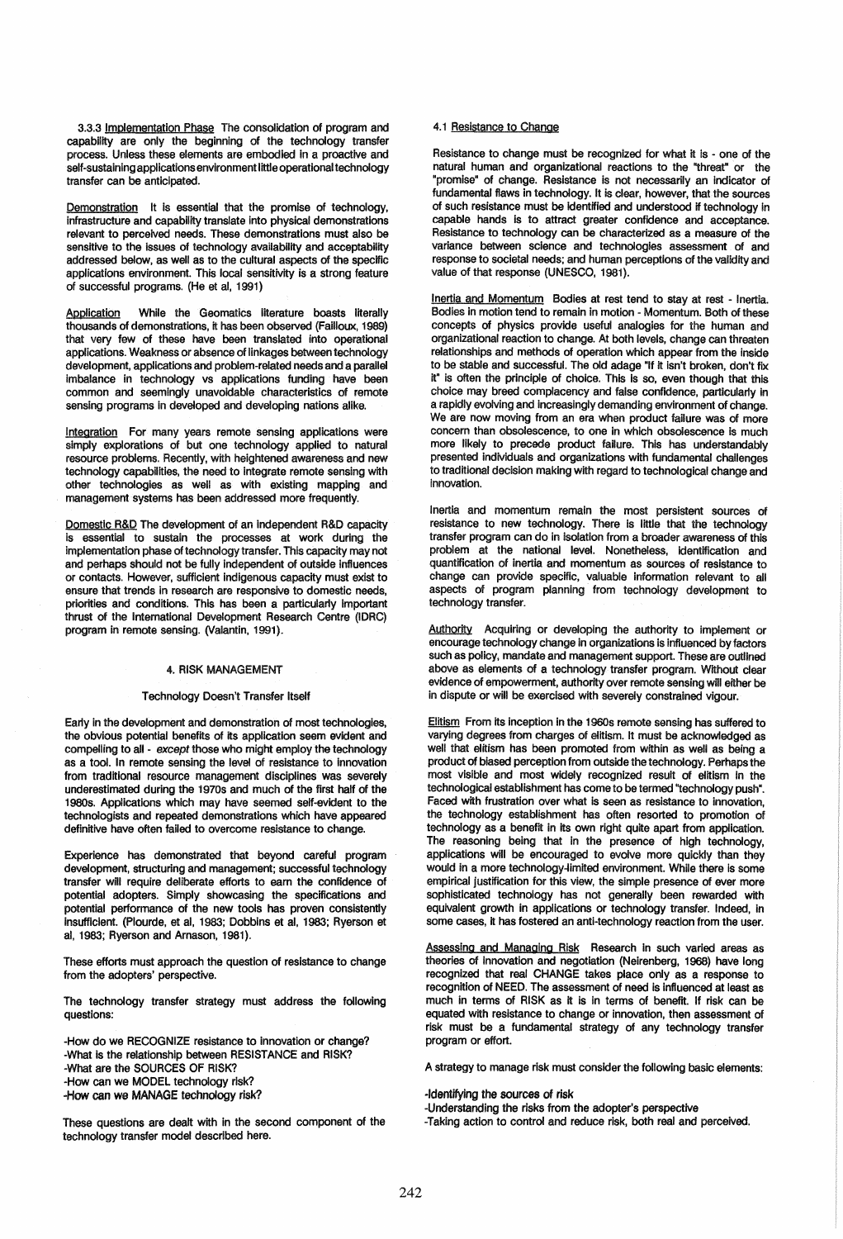3.3.3 Implementation Phase The consolidation of program and capability are only the beginning of the technology transfer process. Unless these elements are embodied in a proactive and self-sustaining applications environment little operational technology transfer can be anticipated.

Demonstration It is essential that the promise of technology, infrastructure and capability translate into physical demonstrations relevant to perceived needs. These demonstrations must also be sensitive to the issues of technology availability and acceptability addressed below, as well as to the cultural aspects of the specific applications environment. This local sensitivity is a strong feature of successful programs. (He et ai, 1991)

Application While the Geomatics literature boasts literally thousands of demonstrations, it has been observed (Failloux, 1989) that very few of these have been translated into operational applications. Weakness or absence of linkages between technology development, applications and problem-related needs and a parallel Imbalance in technology vs applications funding have been common and seemingly unavoidable characteristics of remote sensing programs in developed and developing nations alike.

Integration For many years remote sensing applications were simply explorations of but one technology applied to natural resource problems. Recently, with heightened awareness and new technology capabilities, the need to integrate remote sensing with other technologies as well as with existing mapping and management systems has been addressed more frequently.

Domestic R&D The development of an independent R&D capacity is essential to sustain the processes at work during the implementation phase of technology transfer. This capacity may not and perhaps should not be fully independent of outside influences or contacts. However, sufficient indigenous capacity must exist to ensure that trends in research are responsive to domestic needs, priorities and conditions. This has been a particularly Important thrust of the International Development Research Centre (IDRe) program in remote sensing. (Valantin. 1991).

#### 4. RISK MANAGEMENT

#### Technology Doesn't Transfer Itself

Early in the development and demonstration of most technologies, the obvious potential benefits of its application seem evident and compelling to all - except those who might employ the technology as a tool. In remote sensing the level of resistance to innovation from traditional resource management disciplines was severely underestimated during the 1970s and much of the first half of the 1980s. Applications which may have seemed self-evident to the technologists and repeated demonstrations which have appeared definitive have often failed to overcome resistance to change.

Experience has demonstrated that beyond careful program development, structuring and management; successful technology transfer will require deliberate efforts to earn the confidence of potential adopters. Simply showcasing the specifications and potential performance of the new tools has proven consistently Insufficient. (Plourde, et ai, 1983; Dobbins et ai, 1983; Ryerson et ai, 1983; Ryerson and Amason, 1981).

These efforts must approach the question of resistance to change from the adopters' perspective.

The technology transfer strategy must address the following questions:

-How do we RECOGNIZE resistance to innovation or change? -What is the relationship between RESISTANCE and RISK? -What are the SOURCES OF RISK? -How can we MODEL technology risk? -How can we MANAGE technology risk?

These questions are dealt with in the second component of the technology transfer model described here.

## 4.1 Resistance to Change

Resistance to change must be recognized for what it is - one of the natural human and organizational reactions to the "threat" or the ·promise" of change. Resistance is not necessarily an Indicator of fundamental flaws in technology. It is clear. however, that the sources of such resistance must be identified and understood if technology In capable hands is to attract greater confidence and acceptance. Resistance to technology can be characterized as a measure of the variance between science and technologies assessment of and response to societal needs; and human perceptions of the validity and value of that response (UNESCO. 1981).

Inertia and Momentum Bodies at rest tend to stay at rest - Inertia. Bodies in motion tend to remain in motion - Momentum. Both of these concepts of physics provide usefuf analogies for the human and organizational reaction to change. At both levels. change can threaten relationships and methods of operation which appear from the inside to be stable and successful. The old adage "If it isn't broken, don't fix it" is often the principle of choice. This is so, even though that this choice may breed complacency and false confidence, particularly In a rapidly evolving and increasingly demanding environment of change. We are now moving from an era when product failure was of more concern than obsolescence, to one in which obsolescence is much more likely to precede product failure. This has understandably presented individuals and organizations with fundamental challenges to traditional decision making with regard to technological change and innovation.

Inertia and momentum remain the most persistent sources of resistance to new technology. There is little that the technology transfer program can do in isolation from a broader awareness of this problem at the national level. Nonetheless, identification and quantification of inertia and momentum as sources of resistance to change can provide specific, valuable information relevant to all aspects of program planning from technoiogy development to technology transfer.

Authority Acquiring or developing the authority to implement or encourage technology change in organizations is influenced by factors such as policy, mandate and management support. These are outlined above as elements of a technology transfer program. Without clear evidence of empowerment, authority over remote sensing will either be in dispute or will be exercised with severely constrained vigour.

Elitism From its inception in the 1960s remote sensing has suffered to varying degrees from charges of elitism. It must be acknowledged as well that elitism has been promoted from within as well as being a product of biased perception from outside the technology. Perhaps the most visible and most widely recognized result of elitism In the technological establishment has come to be termed "technology push". Faced with frustration over what is seen as resistance to innovation, the technology establishment has often resorted to promotion of technology as a benefit in its own right quite apart from application. The reasoning being that in the presence of high technology, applications will be encouraged to evolve more quickly than they would in a more technology-limited environment. While there is some empirical justification for this view, the simple presence of ever more sophisticated technology has not generally been rewarded with equivalent growth in applications or technology transfer. Indeed, in some cases, it has fostered an anti-technology reaction from the user.

Assessing and Managing Risk Research in such varied areas as theories of Innovation and negotiation (Neirenberg, 1968) have long recognized that real CHANGE takes place only as a response to recognition of NEED. The assessment of need is influenced at least as much in terms of RISK as it is in terms of benefit. If risk can be equated with resistance to change or innovation, then assessment of risk must be a fundamental strategy of any technology transfer program or effort.

A strategy to manage risk must consider the following basic elements:

#### -Identifying the sources of risk

-Understanding the risks from the adopter's perspective -Taking action to control and reduce risk, both real and perceived.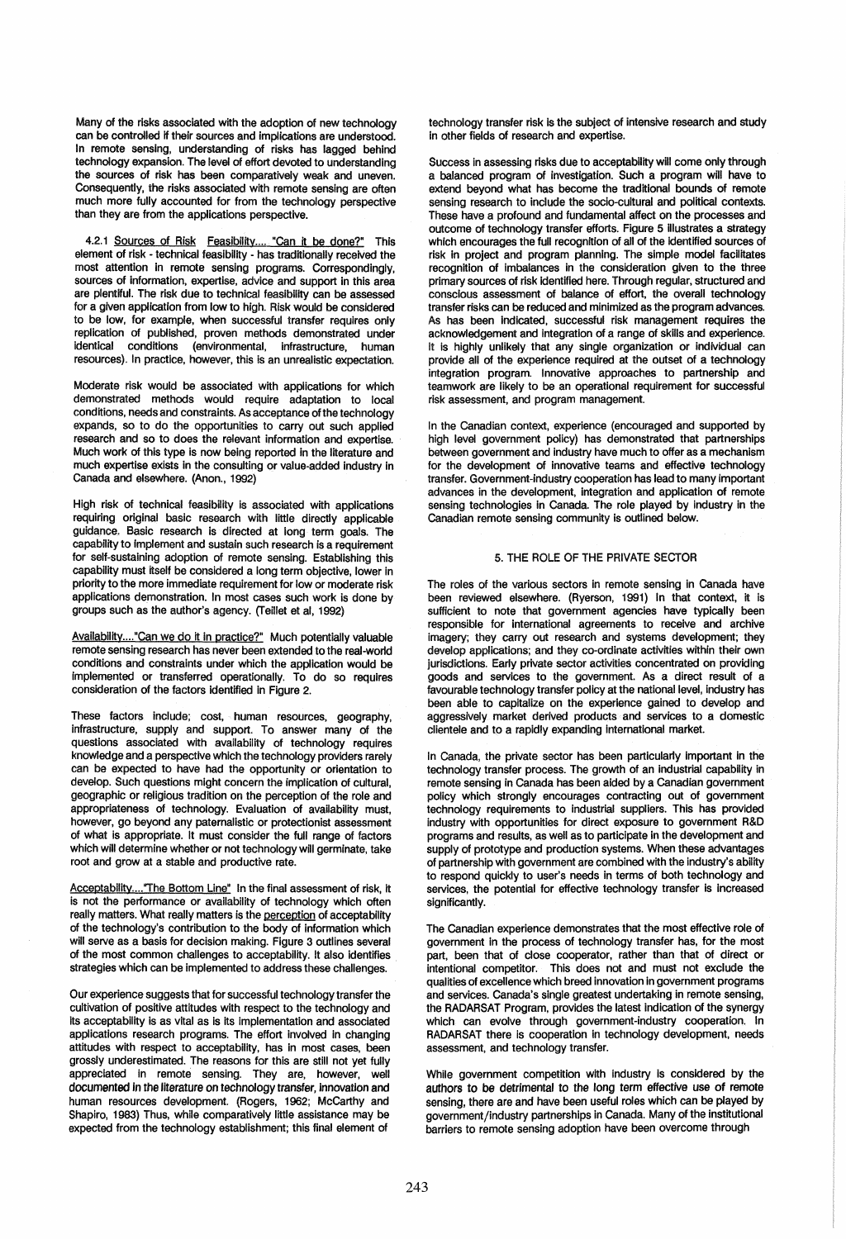Many of the risks associated with the adoption of new technology can be controlled if their sources and implications are understood. In remote sensing, understanding of risks has lagged behind technology expansion. The level of effort devoted to understanding the sources of risk has been comparatively weak and uneven. Consequently, the risks associated with remote sensing are often much more fully accounted for from the technology perspective than they are from the applications perspective.

4.2.1 Sources of Risk Feasibility.... "Can it be done?" This element of risk - technical feasibility - has traditionally received the most attention in remote sensing programs. Correspondingly, sources of information, expertise, advice and support in this area are plentiful. The risk due to technical feasibility can be assessed for a given application from low to high. Risk would be considered to be low, for example, when successful transfer requires only replication of published, proven methods demonstrated under identical conditions (environmental, infrastructure, human resources). In practice, however, this is an unrealistic expectation.

Moderate risk would be associated with applications for which demonstrated methods would require adaptation to local conditions, needs and constraints. As acceptance of the technology expands, so to do the opportunities to carry out such applied research and so to does the relevant information and expertise. Much work of this type is now being reported in the literature and much expertise exists in the consulting or value-added industry in Canada and elsewhere. (Anon., 1992)

High risk of technical feasibility is associated with applications requiring original basic research with little directly applicable guidance. Basic research is directed at long term goals. The capability to implement and sustain such research is a requirement for self-sustaining adoption of remote sensing. Establishing this capability must itself be considered a long term objective, lower in priority to the more immediate requirement for low or moderate risk applications demonstration. In most cases such work is done by groups such as the author's agency. (Teillet et ai, 1992)

Availability...."Can we do it in practice?" Much potentially valuable remote sensing research has never been extended to the real-world conditions and constraints under which the application would be implemented or transferred operationally. To do so requires consideration of the factors identified in Figure 2.

These factors include; cost, human resources, geography, infrastructure, supply and support. To answer many of the questions associated with availability of technology requires knowledge and a perspective which the technology providers rarely can be expected to have had the opportunity or orientation to develop. Such questions might concern the implication of cultural, geographic or religious tradition on the perception of the role and appropriateness of technology. Evaluation of availability must, however, go beyond any paternalistic or protectionist assessment of what is appropriate. It must consider the full range of factors which will determine whether or not technology will germinate, take root and grow at a stable and productive rate.

Acceptability...."The Bottom Line" In the final assessment of risk, it is not the performance or availability of technology which often really matters. What really matters is the perception of acceptability of the technology's contribution to the body of information which will serve as a basis for decision making. Figure 3 outlines several of the most common challenges to acceptability. It also identifies strategies which can be implemented to address these challenges.

Our experience suggests that for successful technology transfer the cultivation of positive attitudes with respect to the technology and its acceptability is as vital as is its implementation and associated applications research programs. The effort involved in changing attitudes with respect to acceptability, has in most cases, been grossly underestimated. The reasons for this are still not yet fully appreciated in remote sensing. They are, however, well documented in the literature on technology transfer, innovation and human resources development. (Rogers, 1962; McCarthy and Shapiro, 1983) Thus, while comparatively little assistance may be expected from the technology establishment; this final element of

technology transfer risk is the subject of intensive research and study in other fields of research and expertise.

Success in assessing risks due to acceptability will come only through a balanced program of investigation. Such a program will have to extend beyond what has become the traditional bounds of remote sensing research to include the socio-cultural and political contexts. These have a profound and fundamental affect on the processes and outcome of technology transfer efforts. Figure 5 illustrates a strategy which encourages the full recognition of all of the identified sources of risk in project and program planning. The simple model facilitates recognition of imbalances in the consideration given to the three primary sources of risk identified here. Through regular, structured and conscious assessment of balance of effort, the overall technology transfer risks can be reduced and minimized as the program advances. As has been indicated, successful risk management requires the acknowledgement and integration of a range of skills and experience. It is highly unlikely that any single organization or individual can provide all of the experience required at the outset of a technology integration program. Innovative approaches to partnership and teamwork are likely to be an operational requirement for successful risk assessment, and program management.

In the Canadian context, experience (encouraged and supported by high level government policy) has demonstrated that partnerships between government and industry have much to offer as a mechanism for the development of innovative teams and effective technology transfer. Government-industry cooperation has lead to many important advances in the development, integration and application of remote sensing technologies in Canada. The role played by industry in the Canadian remote sensing community is outlined below.

## 5. THE ROLE OF THE PRIVATE SECTOR

The roles of the various sectors in remote sensing in Canada have been reviewed elsewhere. (Ryerson, 1991) In that context, it is sufficient to note that government agencies have typically been responsible for international agreements to receive and archive imagery; they carry out research and systems development; they develop applications; and they co-ordinate activities within their own jurisdictions. Early private sector activities concentrated on providing goods and services to the government. As a direct result of a favourable technology transfer policy at the national level, industry has been able to capitalize on the experience gained to develop and aggressively market derived products and services to a domestic clientele and to a rapidly expanding international market.

In Canada, the private sector has been particularly important in the technology transfer process. The growth of an industrial capability in remote sensing in Canada has been aided by a Canadian government policy which strongly encourages contracting out of government technology requirements to industrial suppliers. This has provided industry with opportunities for direct exposure to government R&D programs and results, as well as to participate in the development and supply of prototype and production systems. When these advantages of partnership with government are combined with the industry's ability to respond quickly to user's needs in terms of both technology and services, the potential for effective technology transfer is increased significantly.

The Canadian experience demonstrates that the most effective role of government in the process of technology transfer has, for the most part, been that of close cooperator, rather than that of direct or intentional competitor. This does not and must not exclude the qualities of excellence which breed innovation in government programs and services. Canada's single greatest undertaking in remote sensing, the RADARSAT Program, provides the latest indication of the synergy which can evolve through government-industry cooperation. In RADARSAT there is cooperation in technology development, needs assessment, and technology transfer.

While government competition with industry is considered by the authors to be detrimental to the long term effective use of remote sensing, there are and have been useful roles which can be played by government/industry partnerships in Canada. Many of the institutional barriers to remote sensing adoption have been overcome through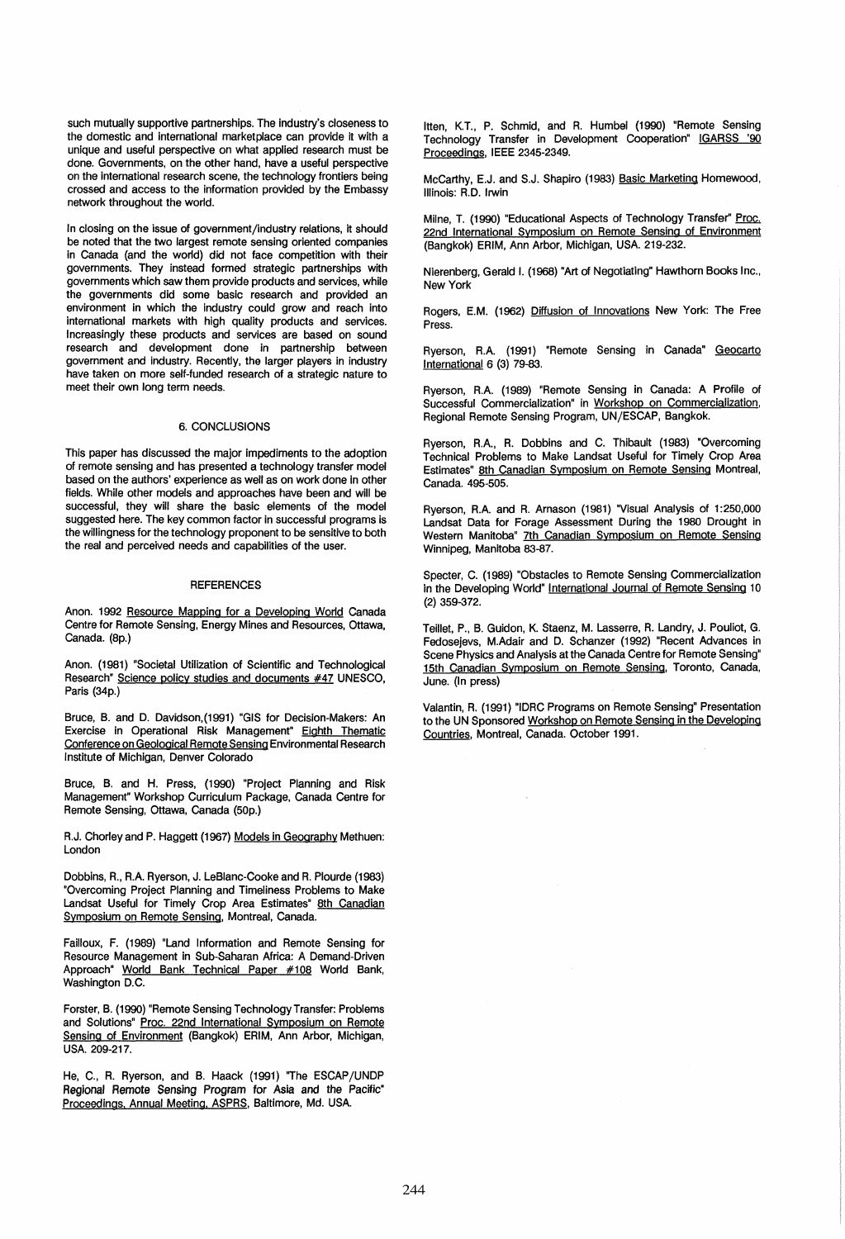such mutually supportive partnerships. The industry's closeness to the domestic and international marketplace can provide it with a unique and useful perspective on what applied research must be done. Governments, on the other hand, have a useful perspective on the international research scene, the technology frontiers being crossed and access to the information provided by the Embassy network throughout the world.

In closing on the issue of government/industry relations, it should be noted that the two largest remote sensing oriented companies in Canada (and the WOrld) did not face competition with their governments. They instead formed strategic partnerships with governments which saw them provide products and services, while the governments did some basic research and provided an environment in which the industry could grow and reach into international markets with high quality products and services. Increasingly these products and services are based on sound research and development done in partnership between government and industry. Recently, the larger players in industry have taken on more self-funded research of a strategic nature to meet their own long term needs.

## 6. CONCLUSIONS

This paper has discussed the major impediments to the adoption of remote sensing and has presented a technology transfer model based on the authors' experience as well as on work done in other fields. While other models and approaches have been and will be successful, they will share the basic elements of the model suggested here. The key common factor in successful programs is the willingness for the technology proponent to be sensitive to both the real and perceived needs and capabilities of the user.

## **REFERENCES**

Anon. 1992 Resource Mapping for a Developing World Canada Centre for Remote Sensing, Energy Mines and Resources, Ottawa, Canada. (8p.)

Anon. (1981) "Societal Utilization of Scientific and Technological Research" Science policy studies and documents #47 UNESCO, Paris (34p.)

Bruce, B. and D. Davidson,(1991) "GIS for Decision-Makers: An Exercise in Operational Risk Management" Eighth Thematic Conference on Geological Remote Sensing Environmental Research Institute of Michigan, Denver Colorado

Bruce, B. and H. Press, (1990) "Project Planning and Risk Management" Workshop Curriculum Package, Canada Centre for Remote Sensing. Ottawa, Canada (50p.)

R.J. Chorley and P. Haggett (1967) Models in Geography Methuen: London

Dobbins, A., R.A. Ryerson, J. LeBlanc-Cooke and R. Plourde (1983) "Overcoming Project Planning and Timeliness Problems to Make Landsat Useful for Timely Crop Area Estimates" 8th Canadian Symposium on Remote Sensing, Montreal, Canada.

Failloux, F. (1989) "Land Information and Remote Sensing for Resource Management in Sub-Saharan Africa: A Demand-Driven Approach" World Bank Technical Paper #108 World Bank, Washington D.C.

Forster, B. (1990) "Remote Sensing Technology Transfer: Problems and Solutions" Proc. 22nd International Symposium on Remote Sensing of Environment (Bangkok) ERIM, Ann Arbor, Michigan, USA. 209-217.

He, C., R. Ryerson, and B. Haack (1991) "The ESCAP/UNDP Regional Remote Sensing Program for Asia and the Pacific· Proceedings, Annual Meeting, ASPRS, Baltimore, Md. USA.

Itten, K.T., P. Schmid, and R. Humbel (1990) "Remote Sensing Technology Transfer in Development Cooperation" IGARSS '90 Proceedings, IEEE 2345-2349.

McCarthy, E.J. and S.J. Shapiro (1983) Basic Marketing Homewood, Illinois: A.D. Irwin

Milne, T. (1990) "Educational Aspects of Technology Transfer" Proc. 22nd International Symposium on Remote Sensing of Environment (Bangkok) ERIM, Ann Arbor, Michigan, USA. 219-232.

Nierenberg, Gerald I. (1968) "Art of Negotiating" Hawthorn Books Inc., New York

Rogers, E.M. (1962) Diffusion of Innovations New York: The Free Press.

Ryerson, R.A. (1991) "Remote Sensing in Canada" Geocarto International 6 (3) 79-83.

Ryerson, A.A. (1989) "Remote Sensing in Canada: A Profile of Successful Commercialization" in Workshop on Commercialization, Regional Remote Sensing Program, UN/ESCAP, Bangkok.

Ryerson, A.A., A. Dobbins and C. Thibault (1983) "Overcoming Technical Problems to Make Landsat Useful for Timely Crop Area Estimates" 8th Canadian Symposium on Remote Sensing Montreal, Canada. 495-505.

Ryerson, R.A. and R. Arnason (1981) "Visual Analysis of 1:250,000 Landsat Data for Forage Assessment During the 1980 Drought in Western Manitoba" 7th Canadian Symposium on Remote Sensing Winnipeg, Manitoba 83-87.

Specter, C. (1989) "Obstacles to Remote Sensing Commercialization in the Developing World" International Journal of Remote Sensing 10 (2) 359-372.

Teillet, P., B. Guidon, K. Staenz, M. Lasserre, R. Landry, J. Pouliot, G. Fedosejevs, M.Adair and D. Schanzer (1992) "Recent Advances in Scene Physics and Analysis at the Canada Centre for Remote Sensing" 15th Canadian Symposium on Remote Sensing. Toronto, Canada, June. (In press)

Valantin, R. (1991) "IDRC Programs on Remote Sensing" Presentation to the UN Sponsored Workshop on Remote Sensing in the Developing Countries, Montreal, Canada. October 1991.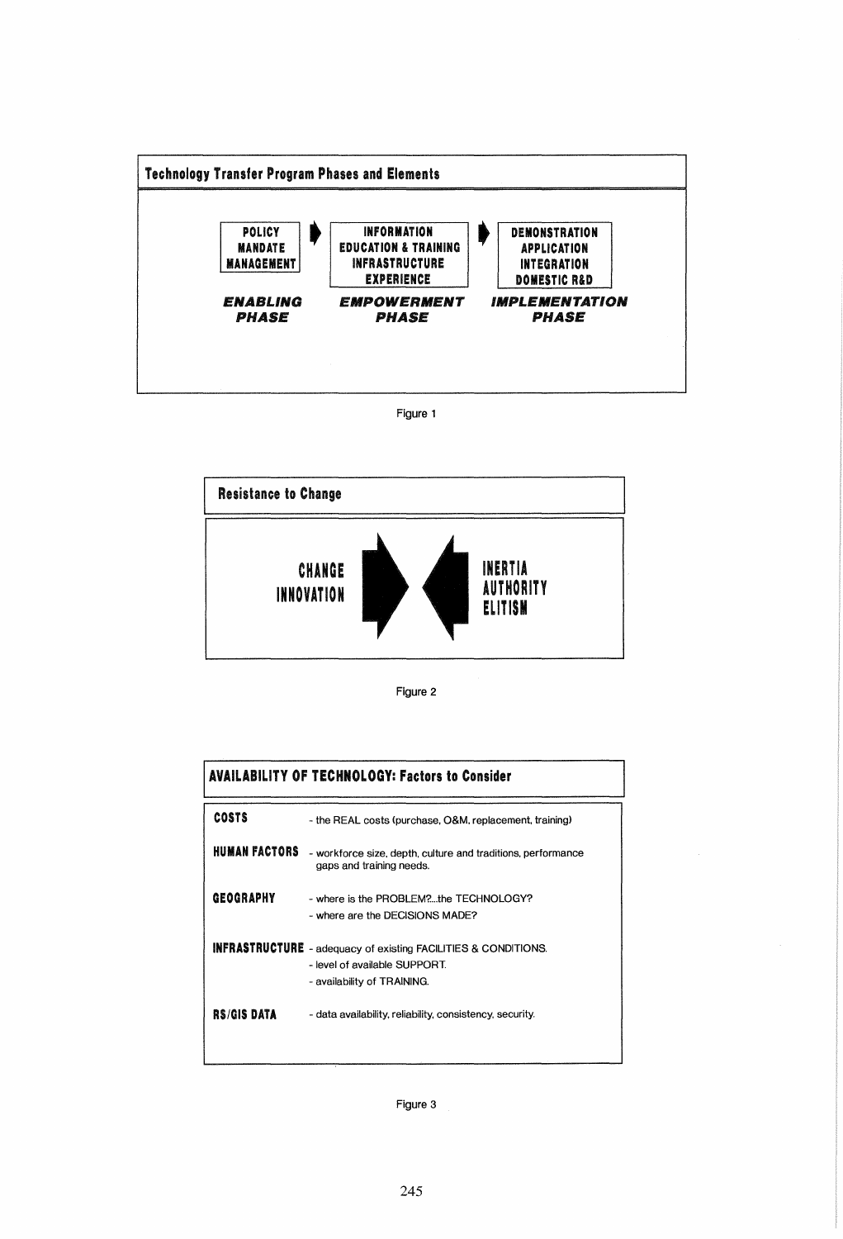







|                  | <b>AVAILABILITY OF TECHNOLOGY: Factors to Consider</b>                                                                                |
|------------------|---------------------------------------------------------------------------------------------------------------------------------------|
| <b>COSTS</b>     | - the REAL costs (purchase, O&M, replacement, training)                                                                               |
| HUMAN FACTORS    | - workforce size, depth, culture and traditions, performance<br>gaps and training needs.                                              |
| <b>GEOGRAPHY</b> | - where is the PROBLEM?the TECHNOLOGY?<br>- where are the DECISIONS MADE?                                                             |
|                  | <b>INFRASTRUCTURE</b> - adequacy of existing FACILITIES & CONDITIONS.<br>- level of available SUPPORT.<br>- availability of TRAINING. |
| RS/GIS DATA      | - data availability, reliability, consistency, security.                                                                              |

Figure 3